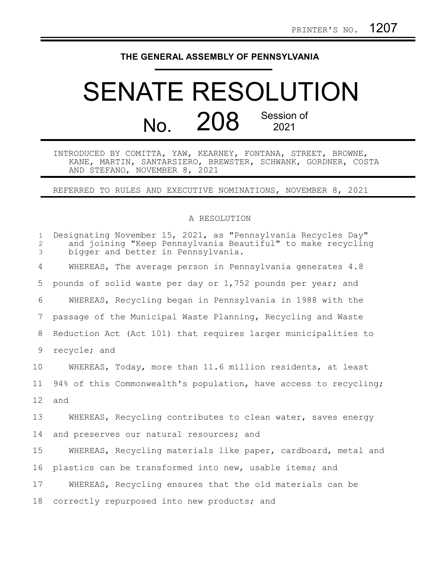## **THE GENERAL ASSEMBLY OF PENNSYLVANIA**

## SENATE RESOLUTION No. 208 Session of 2021

INTRODUCED BY COMITTA, YAW, KEARNEY, FONTANA, STREET, BROWNE, KANE, MARTIN, SANTARSIERO, BREWSTER, SCHWANK, GORDNER, COSTA AND STEFANO, NOVEMBER 8, 2021

REFERRED TO RULES AND EXECUTIVE NOMINATIONS, NOVEMBER 8, 2021

## A RESOLUTION

| $\mathbf{1}$<br>$\mathbf{2}$<br>3 | Designating November 15, 2021, as "Pennsylvania Recycles Day"<br>and joining "Keep Pennsylvania Beautiful" to make recycling<br>bigger and better in Pennsylvania. |
|-----------------------------------|--------------------------------------------------------------------------------------------------------------------------------------------------------------------|
| 4                                 | WHEREAS, The average person in Pennsylvania generates 4.8                                                                                                          |
| 5                                 | pounds of solid waste per day or 1,752 pounds per year; and                                                                                                        |
| 6                                 | WHEREAS, Recycling began in Pennsylvania in 1988 with the                                                                                                          |
| 7                                 | passage of the Municipal Waste Planning, Recycling and Waste                                                                                                       |
| 8                                 | Reduction Act (Act 101) that requires larger municipalities to                                                                                                     |
| 9                                 | recycle; and                                                                                                                                                       |
| 10                                | WHEREAS, Today, more than 11.6 million residents, at least                                                                                                         |
| 11                                | 94% of this Commonwealth's population, have access to recycling;                                                                                                   |
| 12 <sup>°</sup>                   | and                                                                                                                                                                |
| 13                                | WHEREAS, Recycling contributes to clean water, saves energy                                                                                                        |
| 14                                | and preserves our natural resources; and                                                                                                                           |
| 15                                | WHEREAS, Recycling materials like paper, cardboard, metal and                                                                                                      |
| 16                                | plastics can be transformed into new, usable items; and                                                                                                            |
| 17                                | WHEREAS, Recycling ensures that the old materials can be                                                                                                           |
| 18                                | correctly repurposed into new products; and                                                                                                                        |